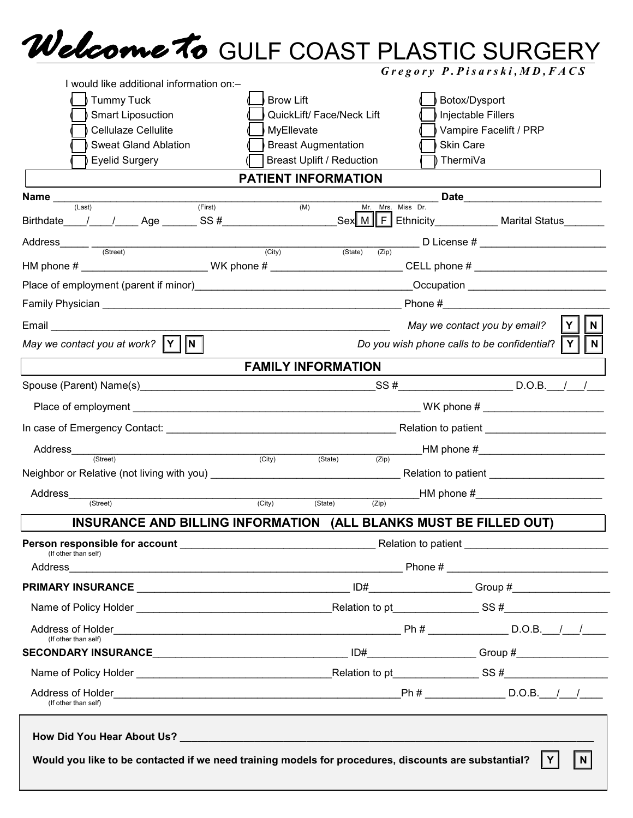## GULF COAST PLASTIC SURGERY *Gregory P.Pisarski,MD,FACS*

| $Gregory$ P. Pisarski, MD, FACS |
|---------------------------------|
| $\mathsf{R}_{\mathsf{dot}}$     |

| I would like additional information on:-                                                                                                                                                                                       |                                                                                      |                                                         |  |  |
|--------------------------------------------------------------------------------------------------------------------------------------------------------------------------------------------------------------------------------|--------------------------------------------------------------------------------------|---------------------------------------------------------|--|--|
| <b>Tummy Tuck</b>                                                                                                                                                                                                              | <b>Brow Lift</b>                                                                     | Botox/Dysport                                           |  |  |
| <b>Smart Liposuction</b>                                                                                                                                                                                                       | QuickLift/ Face/Neck Lift                                                            | Injectable Fillers                                      |  |  |
| Cellulaze Cellulite                                                                                                                                                                                                            | Vampire Facelift / PRP<br>MyEllevate                                                 |                                                         |  |  |
| <b>Sweat Gland Ablation</b>                                                                                                                                                                                                    | <b>Breast Augmentation</b>                                                           | <b>Skin Care</b>                                        |  |  |
| <b>Eyelid Surgery</b>                                                                                                                                                                                                          | <b>Breast Uplift / Reduction</b>                                                     | ThermiVa                                                |  |  |
|                                                                                                                                                                                                                                | <b>PATIENT INFORMATION</b>                                                           |                                                         |  |  |
| <b>Name</b> $\frac{1}{(Last)}$ (First)                                                                                                                                                                                         |                                                                                      | Date                                                    |  |  |
|                                                                                                                                                                                                                                | $\overline{(\mathsf{M})}$<br>Mr. Mrs. Miss Dr.                                       |                                                         |  |  |
|                                                                                                                                                                                                                                |                                                                                      |                                                         |  |  |
| HM phone # _________________________WK phone # _________________________CELL phone # _________________________                                                                                                                 | (Zip)                                                                                |                                                         |  |  |
| Place of employment (parent if minor) [2012] [2013] [2013] [2014] [2014] [2014] [2014] [2014] [2014] [2014] [2014] [2014] [2014] [2014] [2014] [2014] [2014] [2014] [2014] [2014] [2014] [2014] [2014] [2014] [2014] [2014] [2 |                                                                                      |                                                         |  |  |
|                                                                                                                                                                                                                                |                                                                                      | Phone $#$                                               |  |  |
| Email <u>___________________</u>                                                                                                                                                                                               |                                                                                      | May we contact you by email?<br>N                       |  |  |
| May we contact you at work? $\ \mathbf{Y}\  \ \mathbf{N}\ $                                                                                                                                                                    |                                                                                      | N <br>Do you wish phone calls to be confidential?<br> Y |  |  |
|                                                                                                                                                                                                                                | <b>FAMILY INFORMATION</b>                                                            |                                                         |  |  |
|                                                                                                                                                                                                                                |                                                                                      |                                                         |  |  |
|                                                                                                                                                                                                                                |                                                                                      |                                                         |  |  |
|                                                                                                                                                                                                                                |                                                                                      |                                                         |  |  |
| Address_<br>(Street)                                                                                                                                                                                                           | $-M$ phone $\#$ _________________________<br>$\overline{(City)}$<br>(State)<br>(Zip) |                                                         |  |  |
|                                                                                                                                                                                                                                |                                                                                      |                                                         |  |  |
| Address                                                                                                                                                                                                                        | $HM$ phone $\#$ ___________________________                                          |                                                         |  |  |
| (Street)                                                                                                                                                                                                                       | (City)<br>(State)<br>(Zip)                                                           |                                                         |  |  |
| INSURANCE AND BILLING INFORMATION (ALL BLANKS MUST BE FILLED OUT)                                                                                                                                                              |                                                                                      |                                                         |  |  |
| (If other than self)                                                                                                                                                                                                           |                                                                                      |                                                         |  |  |
|                                                                                                                                                                                                                                |                                                                                      |                                                         |  |  |
|                                                                                                                                                                                                                                |                                                                                      |                                                         |  |  |
|                                                                                                                                                                                                                                |                                                                                      |                                                         |  |  |
| (If other than self)                                                                                                                                                                                                           |                                                                                      |                                                         |  |  |
|                                                                                                                                                                                                                                |                                                                                      |                                                         |  |  |
|                                                                                                                                                                                                                                |                                                                                      |                                                         |  |  |
| (If other than self)                                                                                                                                                                                                           |                                                                                      |                                                         |  |  |
| Would you like to be contacted if we need training models for procedures, discounts are substantial?                                                                                                                           |                                                                                      | $\vert$ N $\vert$<br>$\mid$ Y $\mid$                    |  |  |
|                                                                                                                                                                                                                                |                                                                                      |                                                         |  |  |